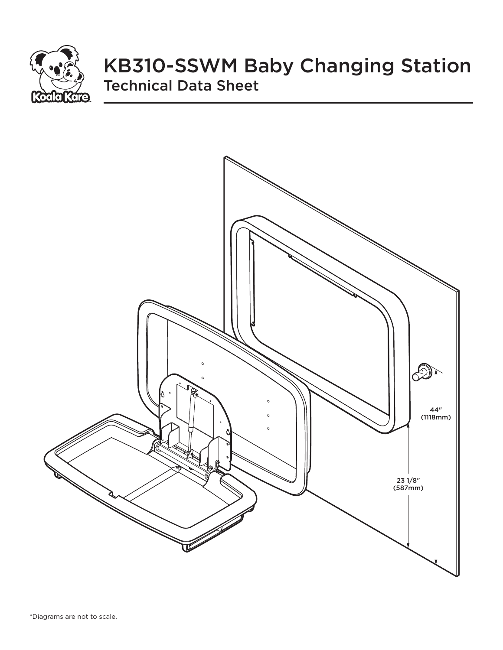

# KB310-SSWM Baby Changing Station Technical Data Sheet

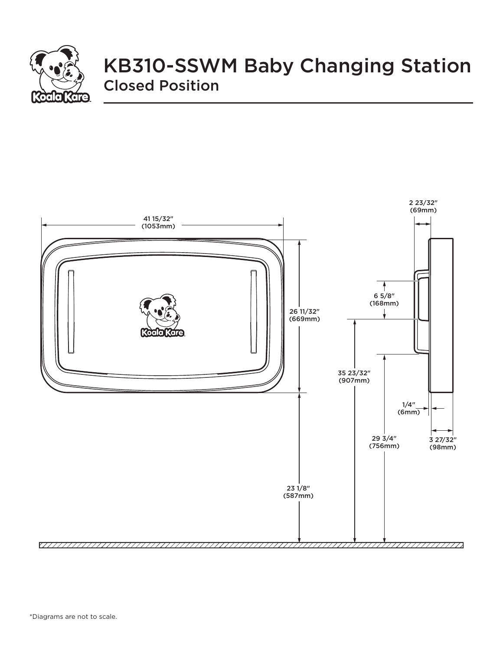

## KB310-SSWM Baby Changing Station Closed Position

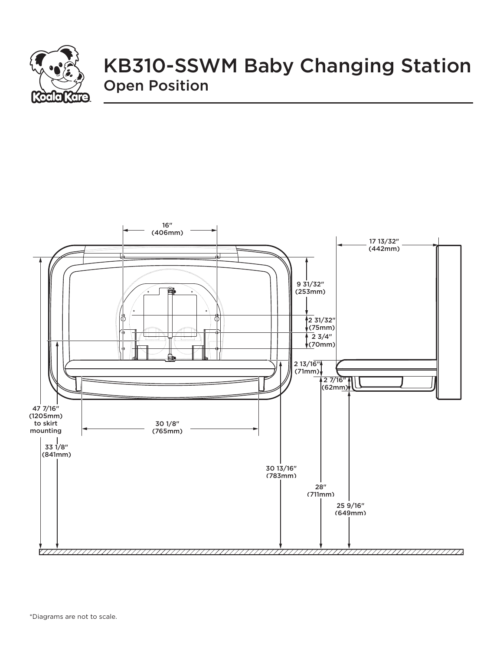

## KB310-SSWM Baby Changing Station Open Position